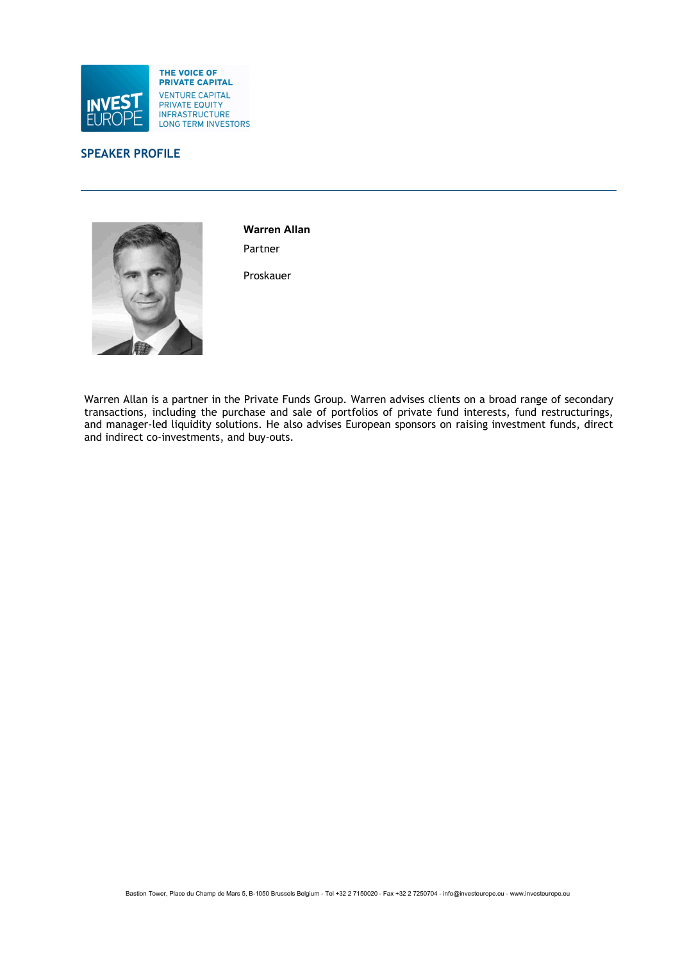



Warren Allan Partner

Proskauer

Warren Allan is a partner in the Private Funds Group. Warren advises clients on a broad range of secondary transactions, including the purchase and sale of portfolios of private fund interests, fund restructurings, and manager-led liquidity solutions. He also advises European sponsors on raising investment funds, direct and indirect co-investments, and buy-outs.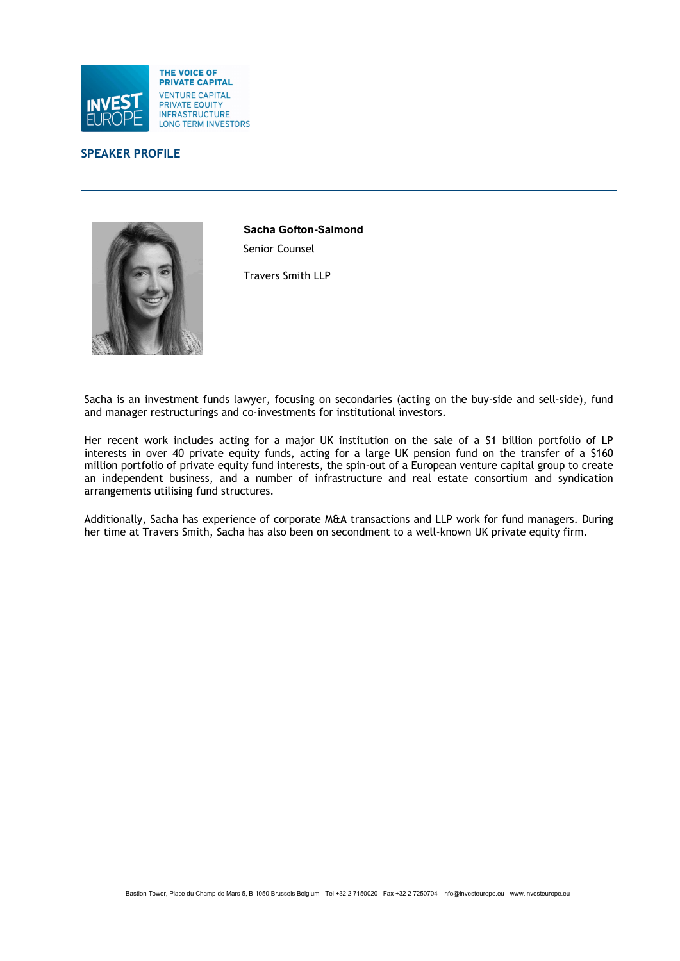



Sacha Gofton-Salmond Senior Counsel

Travers Smith LLP

Sacha is an investment funds lawyer, focusing on secondaries (acting on the buy-side and sell-side), fund and manager restructurings and co-investments for institutional investors.

Her recent work includes acting for a major UK institution on the sale of a \$1 billion portfolio of LP interests in over 40 private equity funds, acting for a large UK pension fund on the transfer of a \$160 million portfolio of private equity fund interests, the spin-out of a European venture capital group to create an independent business, and a number of infrastructure and real estate consortium and syndication arrangements utilising fund structures.

Additionally, Sacha has experience of corporate M&A transactions and LLP work for fund managers. During her time at Travers Smith, Sacha has also been on secondment to a well-known UK private equity firm.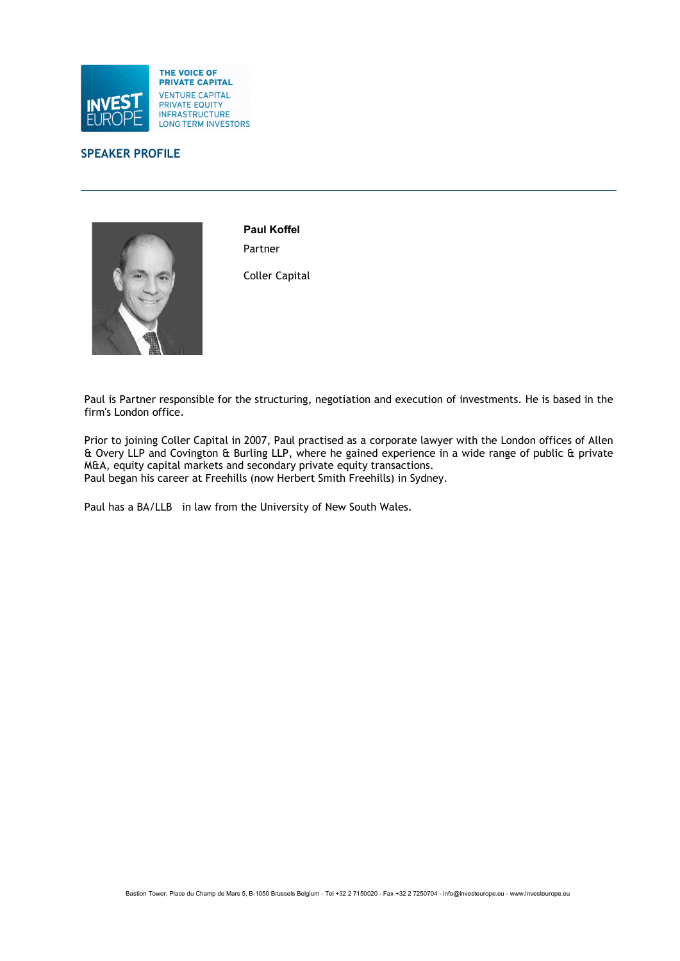



Paul Koffel Partner

Coller Capital

Paul is Partner responsible for the structuring, negotiation and execution of investments. He is based in the firm's London office.

Prior to joining Coller Capital in 2007, Paul practised as a corporate lawyer with the London offices of Allen & Overy LLP and Covington & Burling LLP, where he gained experience in a wide range of public & private M&A, equity capital markets and secondary private equity transactions. Paul began his career at Freehills (now Herbert Smith Freehills) in Sydney.

Paul has a BA/LLB in law from the University of New South Wales.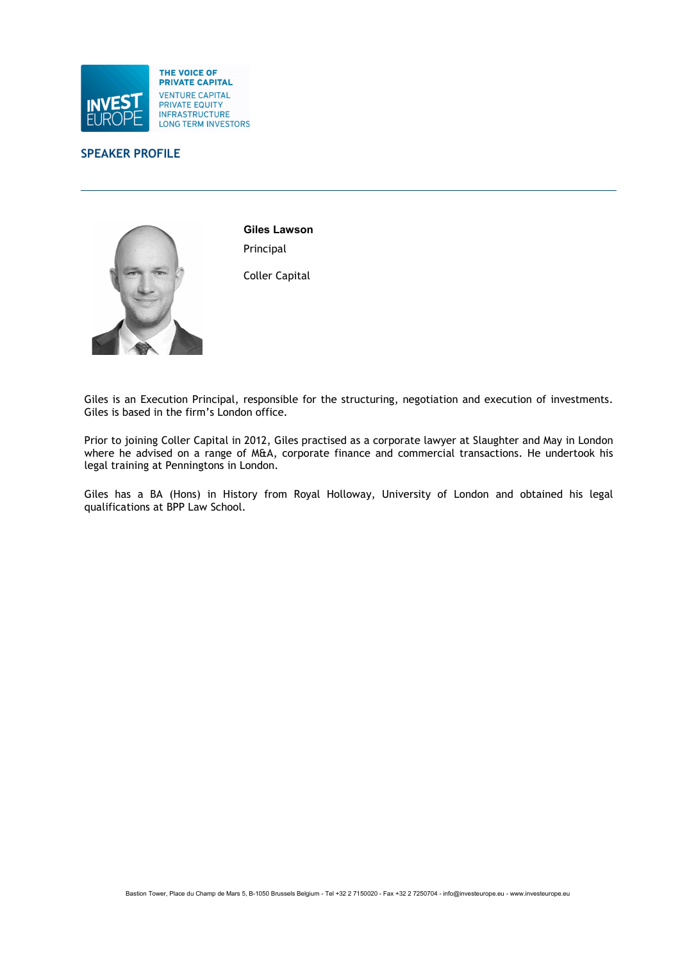



Giles Lawson Principal

Coller Capital

Giles is an Execution Principal, responsible for the structuring, negotiation and execution of investments. Giles is based in the firm's London office.

Prior to joining Coller Capital in 2012, Giles practised as a corporate lawyer at Slaughter and May in London where he advised on a range of M&A, corporate finance and commercial transactions. He undertook his legal training at Penningtons in London.

Giles has a BA (Hons) in History from Royal Holloway, University of London and obtained his legal qualifications at BPP Law School.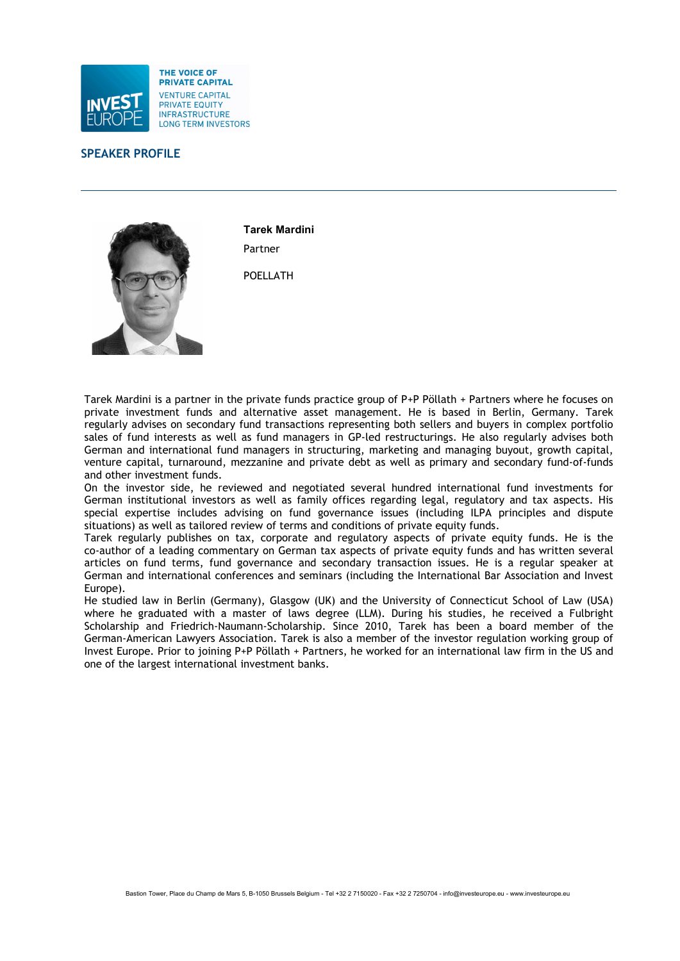



Tarek Mardini Partner

POELLATH

Tarek Mardini is a partner in the private funds practice group of P+P Pöllath + Partners where he focuses on private investment funds and alternative asset management. He is based in Berlin, Germany. Tarek regularly advises on secondary fund transactions representing both sellers and buyers in complex portfolio sales of fund interests as well as fund managers in GP-led restructurings. He also regularly advises both German and international fund managers in structuring, marketing and managing buyout, growth capital, venture capital, turnaround, mezzanine and private debt as well as primary and secondary fund-of-funds and other investment funds.

On the investor side, he reviewed and negotiated several hundred international fund investments for German institutional investors as well as family offices regarding legal, regulatory and tax aspects. His special expertise includes advising on fund governance issues (including ILPA principles and dispute situations) as well as tailored review of terms and conditions of private equity funds.

Tarek regularly publishes on tax, corporate and regulatory aspects of private equity funds. He is the co-author of a leading commentary on German tax aspects of private equity funds and has written several articles on fund terms, fund governance and secondary transaction issues. He is a regular speaker at German and international conferences and seminars (including the International Bar Association and Invest Europe).

He studied law in Berlin (Germany), Glasgow (UK) and the University of Connecticut School of Law (USA) where he graduated with a master of laws degree (LLM). During his studies, he received a Fulbright Scholarship and Friedrich-Naumann-Scholarship. Since 2010, Tarek has been a board member of the German-American Lawyers Association. Tarek is also a member of the investor regulation working group of Invest Europe. Prior to joining P+P Pöllath + Partners, he worked for an international law firm in the US and one of the largest international investment banks.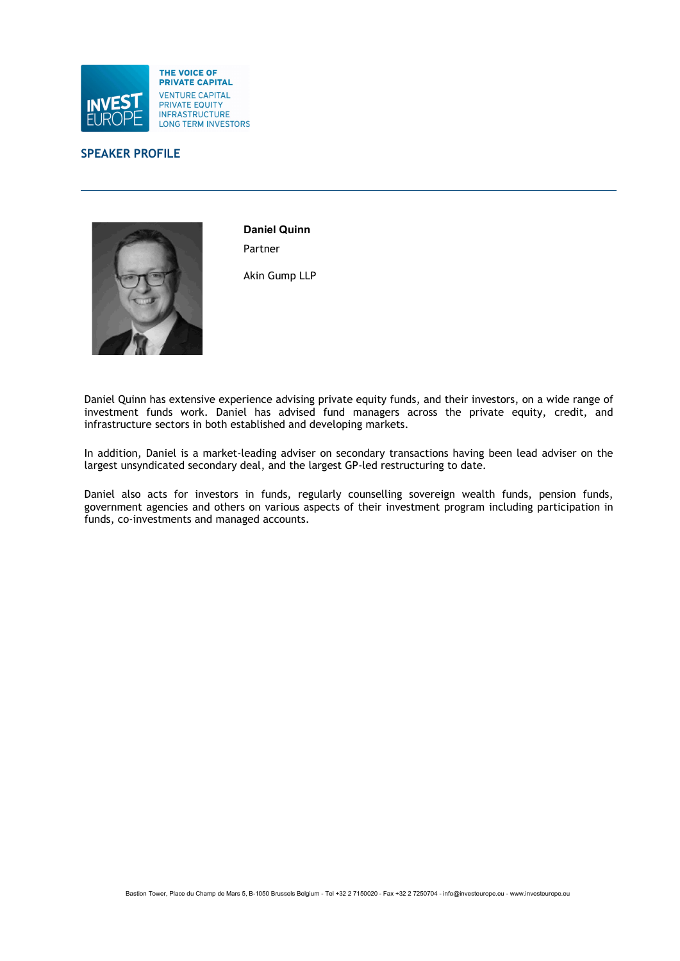



Daniel Quinn Partner

Akin Gump LLP

Daniel Quinn has extensive experience advising private equity funds, and their investors, on a wide range of investment funds work. Daniel has advised fund managers across the private equity, credit, and infrastructure sectors in both established and developing markets.

In addition, Daniel is a market-leading adviser on secondary transactions having been lead adviser on the largest unsyndicated secondary deal, and the largest GP-led restructuring to date.

Daniel also acts for investors in funds, regularly counselling sovereign wealth funds, pension funds, government agencies and others on various aspects of their investment program including participation in funds, co-investments and managed accounts.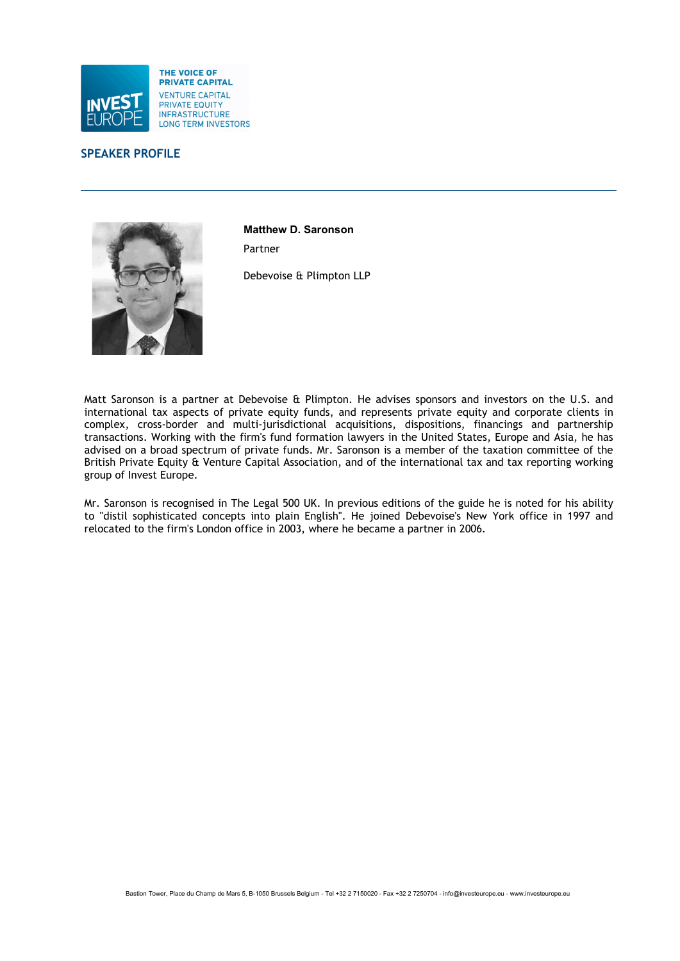



Matthew D. Saronson Partner

Debevoise & Plimpton LLP

Matt Saronson is a partner at Debevoise & Plimpton. He advises sponsors and investors on the U.S. and international tax aspects of private equity funds, and represents private equity and corporate clients in complex, cross-border and multi-jurisdictional acquisitions, dispositions, financings and partnership transactions. Working with the firm's fund formation lawyers in the United States, Europe and Asia, he has advised on a broad spectrum of private funds. Mr. Saronson is a member of the taxation committee of the British Private Equity & Venture Capital Association, and of the international tax and tax reporting working group of Invest Europe.

Mr. Saronson is recognised in The Legal 500 UK. In previous editions of the guide he is noted for his ability to "distil sophisticated concepts into plain English". He joined Debevoise's New York office in 1997 and relocated to the firm's London office in 2003, where he became a partner in 2006.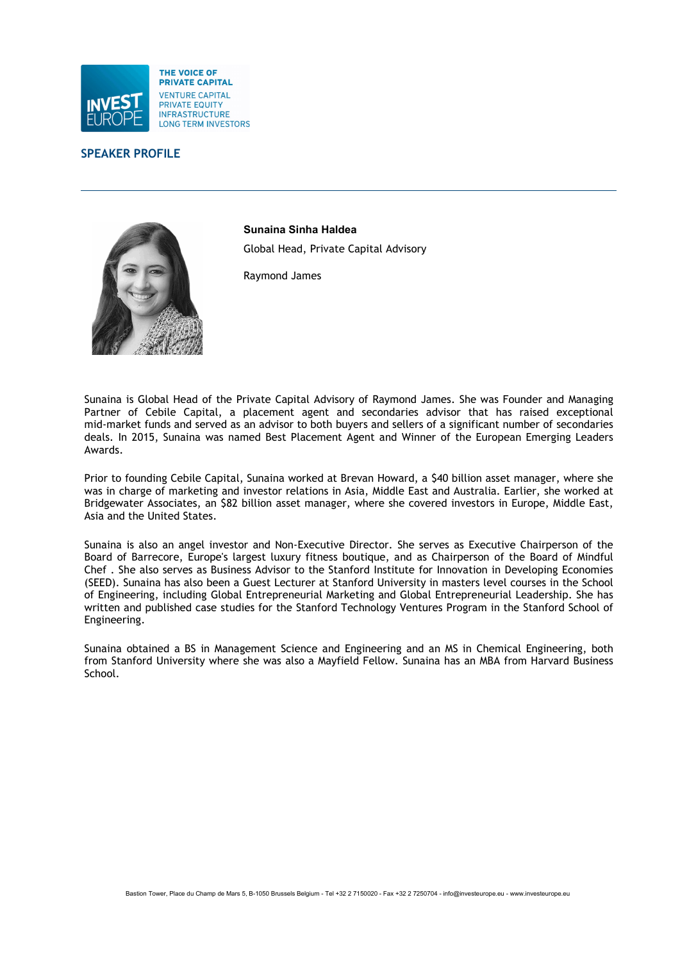



Sunaina Sinha Haldea Global Head, Private Capital Advisory

Raymond James

Sunaina is Global Head of the Private Capital Advisory of Raymond James. She was Founder and Managing Partner of Cebile Capital, a placement agent and secondaries advisor that has raised exceptional mid-market funds and served as an advisor to both buyers and sellers of a significant number of secondaries deals. In 2015, Sunaina was named Best Placement Agent and Winner of the European Emerging Leaders Awards.

Prior to founding Cebile Capital, Sunaina worked at Brevan Howard, a \$40 billion asset manager, where she was in charge of marketing and investor relations in Asia, Middle East and Australia. Earlier, she worked at Bridgewater Associates, an \$82 billion asset manager, where she covered investors in Europe, Middle East, Asia and the United States.

Sunaina is also an angel investor and Non-Executive Director. She serves as Executive Chairperson of the Board of Barrecore, Europe's largest luxury fitness boutique, and as Chairperson of the Board of Mindful Chef . She also serves as Business Advisor to the Stanford Institute for Innovation in Developing Economies (SEED). Sunaina has also been a Guest Lecturer at Stanford University in masters level courses in the School of Engineering, including Global Entrepreneurial Marketing and Global Entrepreneurial Leadership. She has written and published case studies for the Stanford Technology Ventures Program in the Stanford School of Engineering.

Sunaina obtained a BS in Management Science and Engineering and an MS in Chemical Engineering, both from Stanford University where she was also a Mayfield Fellow. Sunaina has an MBA from Harvard Business School.